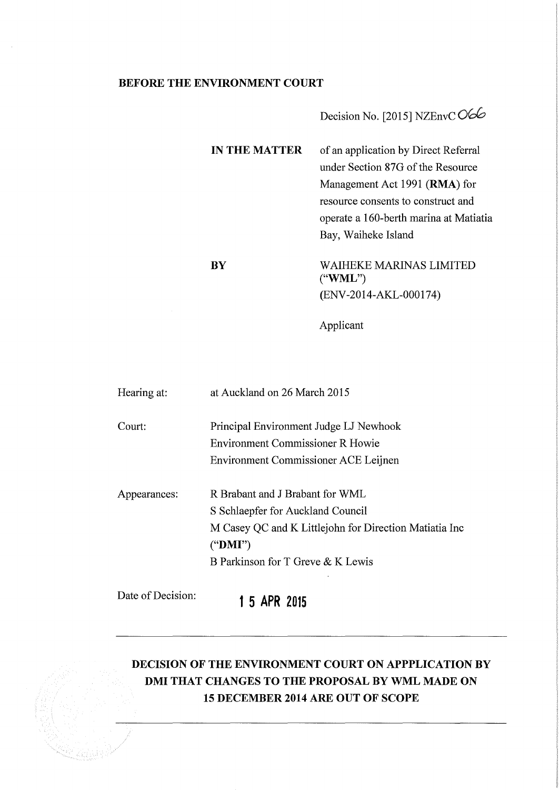## **BEFORE THE ENVIRONMENT COURT**

# Decision No. [2015] NZEnvCO66

| <b>IN THE MATTER</b>   | of an application by Direct Referral   |
|------------------------|----------------------------------------|
|                        | under Section 87G of the Resource      |
|                        | Management Act 1991 (RMA) for          |
|                        | resource consents to construct and     |
|                        | operate a 160-berth marina at Matiatia |
|                        | Bay, Waiheke Island                    |
| $\mathbf{B}\mathbf{Y}$ | WAIHEKE MARINAS LIMITED<br>("WML")     |
|                        | (ENV-2014-AKL-000174)                  |

Applicant

| Hearing at:       | at Auckland on 26 March 2015                                                                                                                                                       |
|-------------------|------------------------------------------------------------------------------------------------------------------------------------------------------------------------------------|
| Court:            | Principal Environment Judge LJ Newhook<br><b>Environment Commissioner R Howie</b><br>Environment Commissioner ACE Leijnen                                                          |
| Appearances:      | R Brabant and J Brabant for WML<br>S Schlaepfer for Auckland Council<br>M Casey QC and K Littlejohn for Direction Matiatia Inc<br>(" $DMI$ ")<br>B Parkinson for T Greve & K Lewis |
| Date of Decision: | ADD<br>E.<br>4.<br><b>904F</b>                                                                                                                                                     |

1 **5 APR 2015** 

## **DECISION OF THE ENVIRONMENT COURT ON APPPLICATION BY DMI THAT CHANGES TO THE PROPOSAL BY WML MADE ON 15 DECEMBER 2014 ARE OUT OF SCOPE**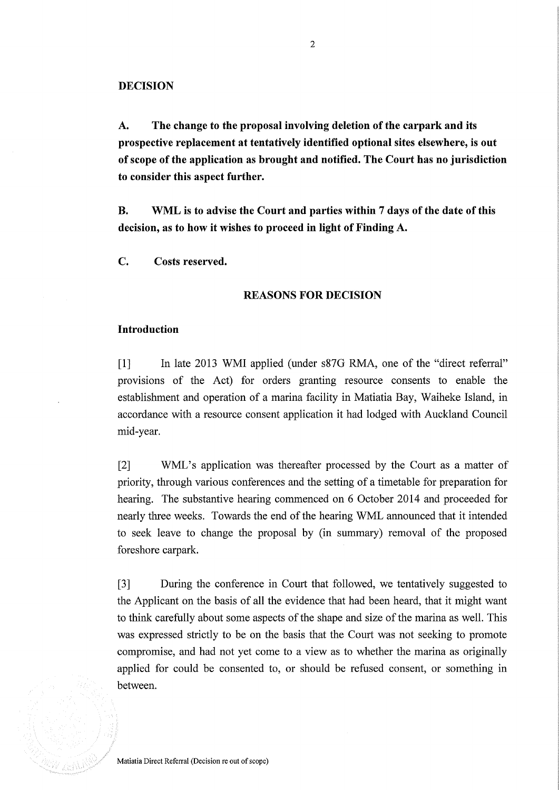**A. The change to the proposal involving deletion of the carpark and its prospective replacement at tentatively identified optional sites elsewhere, is out of scope of the application as brought and notified. The Court has no jurisdiction to consider this aspect further.** 

**B. WML is to advise the Court and parties within 7 days of the date of this decision, as to how it wishes to proceed in light of Finding A.** 

**c. Costs reserved.** 

#### **REASONS FOR DECISION**

#### **Introduction**

[1] In late 2013 WMI applied (under s87G RMA, one of the "direct referral" provisions of the Act) for orders granting resource consents to enable the establishment and operation of a marina facility in Matiatia Bay, Waiheke Island, in accordance with a resource consent application it had lodged with Auckland Council mid-year.

[2] WML's application was thereafter processed by the Court as a matter of priority, through various conferences and the setting of a timetable for preparation for hearing. The substantive hearing commenced on 6 October 2014 and proceeded for nearly three weeks. Towards the end of the hearing WML announced that it intended to seek leave to change the proposal by (in summary) removal of the proposed foreshore carpark.

[3] During the conference in Court that followed, we tentatively suggested to the Applicant on the basis of all the evidence that had been heard, that it might want to think carefully about some aspects of the shape and size of the marina as well. This was expressed strictly to be on the basis that the Court was not seeking to promote compromise, and had not yet come to a view as to whether the marina as originally applied for could be consented to, or should be refused consent, or something in between.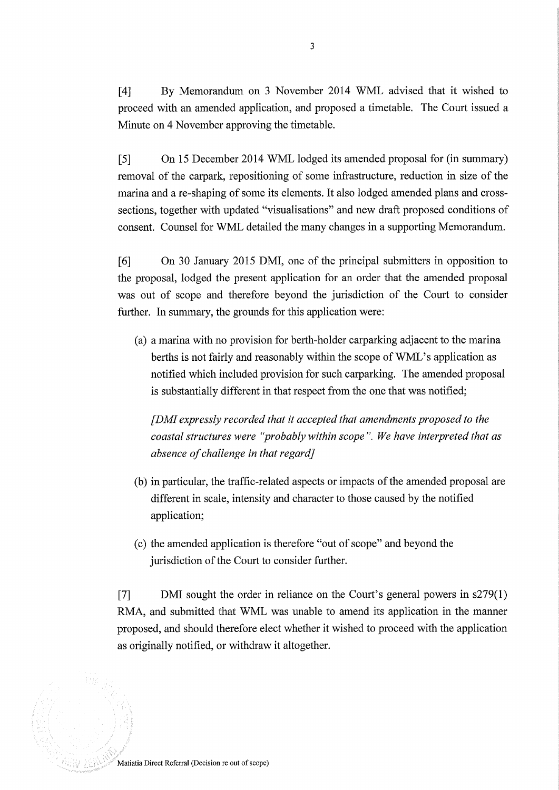[4] By Memorandum on 3 November 2014 WML advised that it wished to proceed with an amended application, and proposed a timetable. The Court issued a Minute on 4 November approving the timetable.

[5] On 15 December 2014 WML lodged its amended proposal for (in summary) removal of the carpark, repositioning of some infrastructure, reduction in size of the marina and a re-shaping of some its elements. It also lodged amended plans and crosssections, together with updated "visualisations" and new draft proposed conditions of consent. Counsel for WML detailed the many changes in a supporting Memorandum.

[6] On 30 January 2015 DMI, one of the principal submitters in opposition to the proposal, lodged the present application for an order that the amended proposal was out of scope and therefore beyond the jurisdiction of the Court to consider further. In summary, the grounds for this application were:

(a) a marina with no provision for berth-holder carparking adjacent to the marina berths is not fairly and reasonably within the scope of WML's application as notified which included provision for such carparking. The amended proposal is substantially different in that respect from the one that was notified;

*[DMI expressly recorded that it accepted that amendments proposed to the coastal structures were "probably within scope". We have interpreted that as absence of challenge in that regard]* 

- (b) in particular, the traffic-related aspects or impacts of the amended proposal are different in scale, intensity and character to those caused by the notified application;
- (c) the amended application is therefore "out of scope" and beyond the jurisdiction of the Court to consider further.

[7] DMI sought the order in reliance on the Court's general powers in s279(1) RMA, and submitted that WML was unable to amend its application in the manner proposed, and should therefore elect whether it wished to proceed with the application as originally notified, or withdraw it altogether.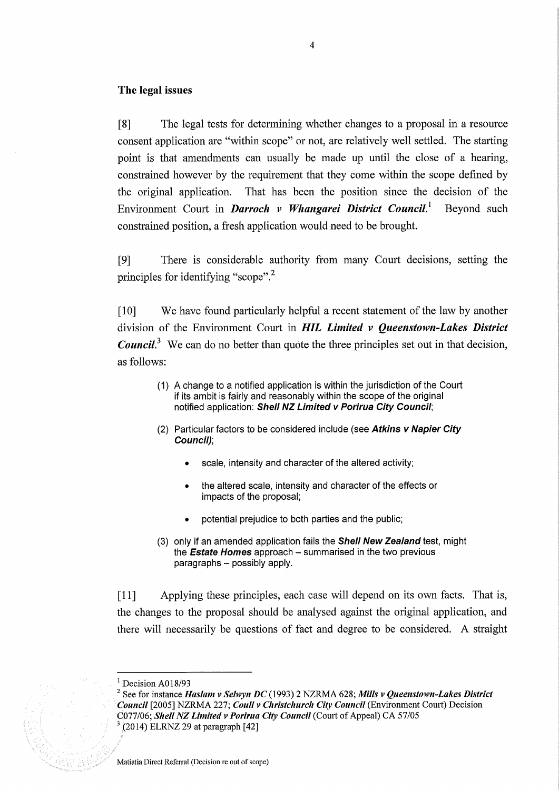#### The legal issues

[8] The legal tests for determining whether changes to a proposal in a resource consent application are "within scope" or not, are relatively well settled. The starting point is that amendments can usually be made up until the close of a hearing, constrained however by the requirement that they come within the scope defined by the original application. That has been the position since the decision of the Environment Court in *Darroch v Whangarei District Council.!* Beyond such constrained position, a fresh application would need to be brought.

[9] There is considerable authority from many Court decisions, setting the principles for identifying "scope".<sup>2</sup>

[10] We have found particularly helpful a recent statement of the law by another division of the Environment Court in *HIL Limited v Queenstown-Lakes District Council*<sup>3</sup> We can do no better than quote the three principles set out in that decision, as follows:

- (1) A change to a notified application is within the jurisdiction of the Court if its ambit is fairly and reasonably within the scope of the original notified application: Shell NZ Limited v Porirua City Council:
- (2) Particular factors to be considered include (see Atkins v Napier City Council);
	- scale, intensity and character of the altered activity;
	- the altered scale, intensity and character of the effects or impacts of the proposal;
	- potential prejudice to both parties and the public;
- (3) only if an amended application fails the **Shell New Zealand** test, might the **Estate Homes** approach  $-$  summarised in the two previous  $paragnahs - possibly apply.$

[11] Applying these principles, each case will depend on its own facts. That is, the changes to the proposal should be analysed against the original application, and there will necessarily be questions of fact and degree to be considered. A straight

 $<sup>1</sup>$  Decision A018/93</sup>

<sup>2</sup> See for instance *Haslam v Selwyn DC* (1993) 2 NZRMA 628; *Mills v Queenstown-Lakes District Council* [2005] NZRMA 227; *Coull v Christchurch City Council* (Environment Court) Decision C077/06; *Shell NZ Limited v Porirua City Council* (Court of Appeal) CA 57/05  $(2014)$  ELRNZ 29 at paragraph  $[42]$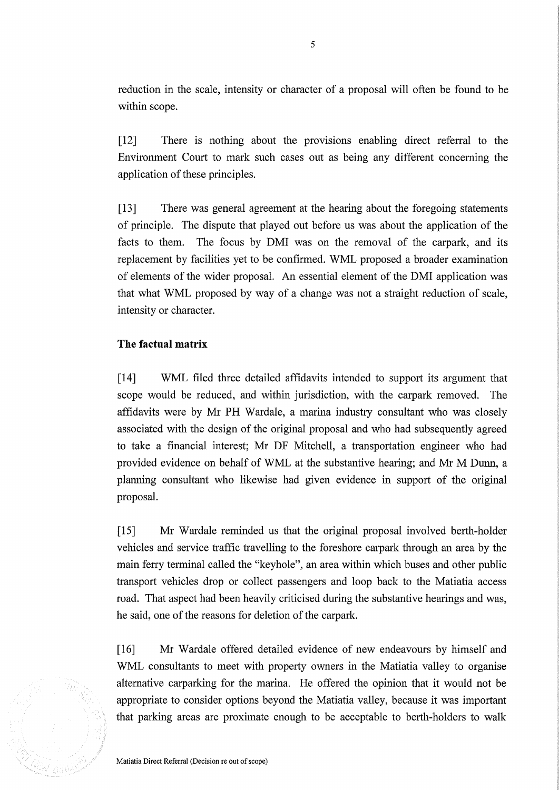reduction in the scale, intensity or character of a proposal will often be found to be within scope.

[12] There is nothing about the provisions enabling direct referral to the Environment Court to mark such cases out as being any different concerning the application of these principles.

[13] There was general agreement at the hearing about the foregoing statements of principle. The dispute that played out before us was about the application of the facts to them. The focus by DMI was on the removal of the carpark, and its replacement by facilities yet to be confirmed. WML proposed a broader examination of elements of the wider proposal. An essential element of the DMI application was that what WML proposed by way of a change was not a straight reduction of scale, intensity or character.

## **The factual matrix**

[14] WML filed three detailed affidavits intended to support its argument that scope would be reduced, and within jurisdiction, with the carpark removed. The affidavits were by Mr PH Wardale, a marina industry consultant who was closely associated with the design of the original proposal and who had subsequently agreed to take a financial interest; Mr DF Mitchell, a transportation engineer who had provided evidence on behalf of WML at the substantive hearing; and Mr M Dunn, a planning consultant who likewise had given evidence in support of the original proposal.

[15] Mr Wardale reminded us that the original proposal involved berth-holder vehicles and service traffic travelling to the foreshore carpark through an area by the main ferry terminal called the "keyhole", an area within which buses and other public transport vehicles drop or collect passengers and loop back to the Matiatia access road. That aspect had been heavily criticised during the substantive hearings and was, he said, one of the reasons for deletion of the carpark.

[16] Mr Wardale offered detailed evidence of new endeavours by himself and WML consultants to meet with property owners in the Matiatia valley to organise alternative carparking for the marina. He offered the opinion that it would not be appropriate to consider options beyond the Matiatia valley, because it was important that parking areas are proximate enough to be acceptable to berth-holders to walk



Matiatia Direct Referral (Decision re out of scope)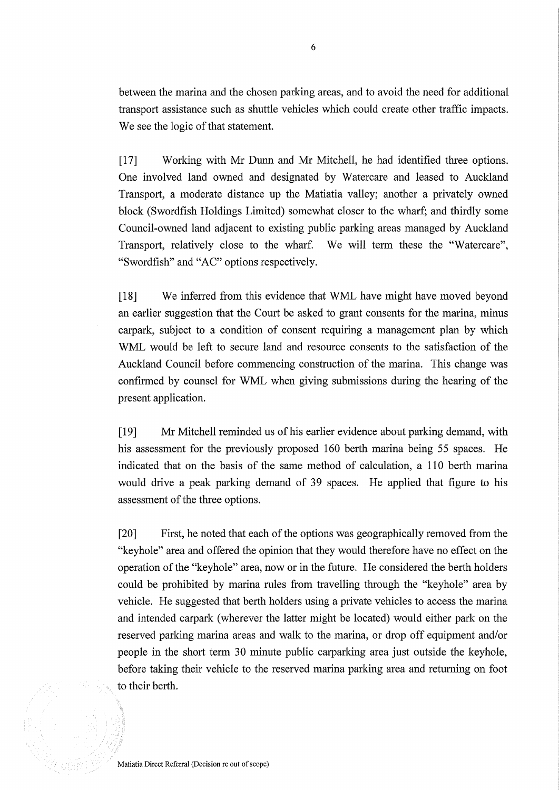between the marina and the chosen parking areas, and to avoid the need for additional transport assistance such as shuttle vehicles which could create other traffic impacts. We see the logic of that statement.

[17] Working with Mr Dunn and Mr Mitchell, he had identified three options. One involved land owned and designated by Watercare and leased to Auckland Transport, a moderate distance up the Matiatia valley; another a privately owned block (Swordfish Holdings Limited) somewhat closer to the wharf; and thirdly some Council-owned land adjacent to existing public parking areas managed by Auckland Transport, relatively close to the wharf. We will term these the "Watercare", "Swordfish" and "AC" options respectively.

[18] We inferred from this evidence that WML have might have moved beyond an earlier suggestion that the Court be asked to grant consents for the marina, minus carpark, subject to a condition of consent requiring a management plan by which WML would be left to secure land and resource consents to the satisfaction of the Auckland Council before commencing construction of the marina. This change was confirmed by counsel for WML when giving submissions during the hearing of the present application.

[19] Mr Mitchell reminded us of his earlier evidence about parking demand, with his assessment for the previously proposed 160 berth marina being 55 spaces. He indicated that on the basis of the same method of calculation, a 110 berth marina would drive a peak parking demand of 39 spaces. He applied that figure to his assessment of the three options.

[20] First, he noted that each of the options was geographically removed from the "keyhole" area and offered the opinion that they would therefore have no effect on the operation of the "keyhole" area, now or in the future. He considered the berth holders could be prohibited by marina rules from travelling through the "keyhole" area by vehicle. He suggested that berth holders using a private vehicles to access the marina and intended carpark (wherever the latter might be located) would either park on the reserved parking marina areas and walk to the marina, or drop off equipment and/or people in the short term 30 minute public carparking area just outside the keyhole, before taking their vehicle to the reserved marina parking area and returning on foot to their berth.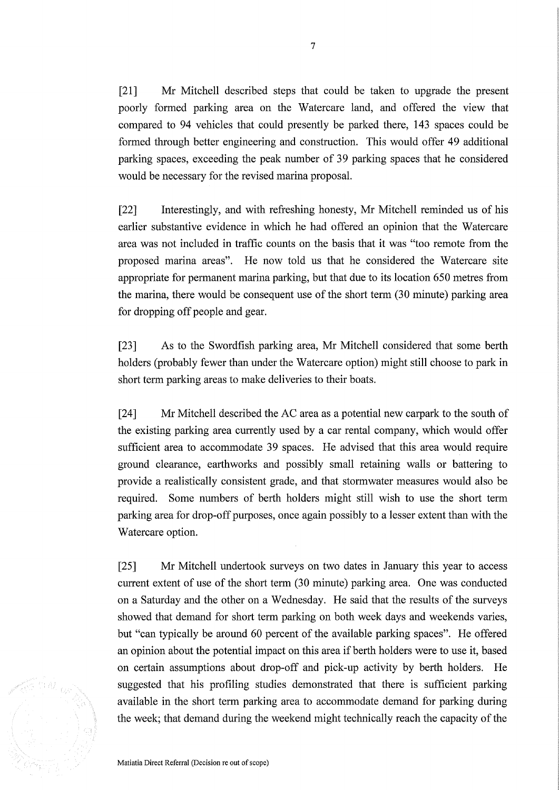[21] Mr Mitchell described steps that could be taken to upgrade the present poorly formed parking area on the Watercare land, and offered the view that compared to 94 vehicles that could presently be parked there, 143 spaces could be formed through better engineering and construction. This would offer 49 additional parking spaces, exceeding the peak number of 39 parking spaces that he considered would be necessary for the revised marina proposal.

[22] Interestingly, and with refreshing honesty, Mr Mitchell reminded us of his earlier substantive evidence in which he had offered an opinion that the Watercare area was not included in traffic counts on the basis that it was "too remote from the proposed marina areas". He now told us that he considered the Watercare site appropriate for permanent marina parking, but that due to its location 650 metres from the marina, there would be consequent use of the short term (30 minute) parking area for dropping off people and gear.

[23] As to the Swordfish parking area, Mr Mitchell considered that some berth holders (probably fewer than under the Watercare option) might still choose to park in short term parking areas to make deliveries to their boats.

[24] Mr Mitchell described the AC area as a potential new carpark to the south of the existing parking area currently used by a car rental company, which would offer sufficient area to accommodate 39 spaces. He advised that this area would require ground clearance, earthworks and possibly small retaining walls or battering to provide a realistically consistent grade, and that stormwater measures would also be required. Some numbers of berth holders might still wish to use the short term parking area for drop-off purposes, once again possibly to a lesser extent than with the Watercare option.

[25] Mr Mitchell undertook surveys on two dates in January this year to access current extent of use of the short term (30 minute) parking area. One was conducted on a Saturday and the other on a Wednesday. He said that the results of the surveys showed that demand for short term parking on both week days and weekends varies, but "can typically be around 60 percent of the available parking spaces". He offered an opinion about the potential impact on this area if berth holders were to use it, based on certain assumptions about drop-off and pick-up activity by berth holders. He suggested that his profiling studies demonstrated that there is sufficient parking available in the short term parking area to accommodate demand for parking during the week; that demand during the weekend might technically reach the capacity of the

Matiatia Direct Referral (Decision re out of scope)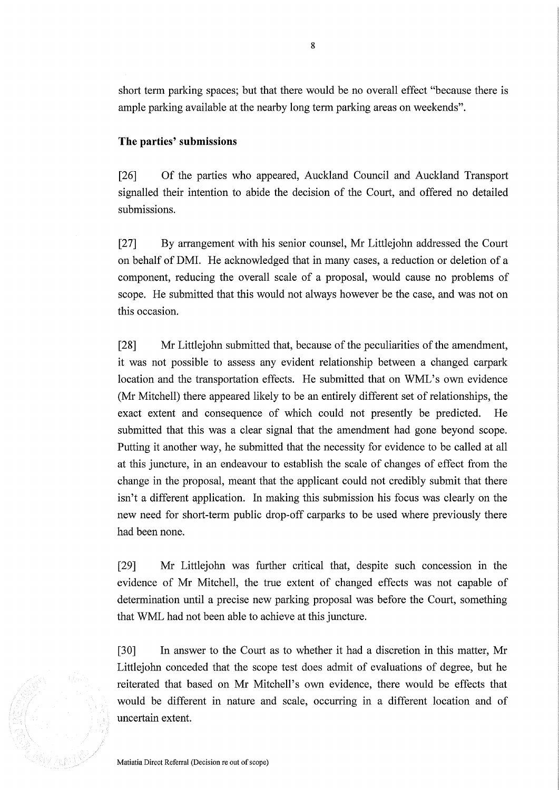short term parking spaces; but that there would be no overall effect "because there is ample parking available at the nearby long term parking areas on weekends".

#### **The parties' submissions**

[26] Of the parties who appeared, Auckland Council and Auckland Transport signalled their intention to abide the decision of the Court, and offered no detailed submissions.

[27] By arrangement with his senior counsel, Mr Littlejohn addressed the Court on behalf of DMI. He acknowledged that in many cases, a reduction or deletion of a component, reducing the overall scale of a proposal, would cause no problems of scope. He submitted that this would not always however be the case, and was not on this occasion.

[28] Mr Littlejohn submitted that, because of the peculiarities of the amendment, it was not possible to assess any evident relationship between a changed carpark location and the transportation effects. He submitted that on WML's own evidence (Mr Mitchell) there appeared likely to be an entirely different set of relationships, the exact extent and consequence of which could not presently be predicted. He submitted that this was a clear signal that the amendment had gone beyond scope. Putting it another way, he submitted that the necessity for evidence to be called at all at this juncture, in an endeavour to establish the scale of changes of effect from the change in the proposal, meant that the applicant could not credibly submit that there isn't a different application. In making this submission his focus was clearly on the new need for short-term public drop-off carparks to be used where previously there had been none.

[29] Mr Littlejohn was further critical that, despite such concession in the evidence of Mr Mitchell, the true extent of changed effects was not capable of determination until a precise new parking proposal was before the Court, something that WML had not been able to achieve at this juncture.

[30] In answer to the Court as to whether it had a discretion in this matter, Mr Littlejohn conceded that the scope test does admit of evaluations of degree, but he reiterated that based on Mr Mitchell's own evidence, there would be effects that would be different in nature and scale, occurring in a different location and of uncertain extent.



Matiatia Direct Referral (Decision re out of scope)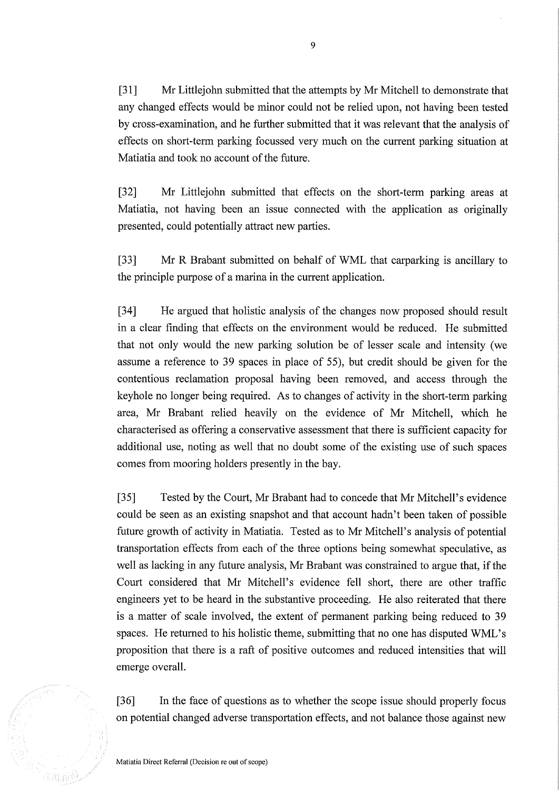[31] Mr Littlejohn submitted that the attempts by Mr Mitchell to demonstrate that any changed effects would be minor could not be relied upon, not having been tested by cross-examination, and he further submitted that it was relevant that the analysis of effects on short-term parking focussed very much on the current parking situation at Matiatia and took no account of the future.

[32] Mr Littlejohn submitted that effects on the short-term parking areas at Matiatia, not having been an issue connected with the application as originally presented, could potentially attract new parties.

[33] Mr R Brabant submitted on behalf of WML that carparking is ancillary to the principle purpose of a marina in the current application.

[34] He argued that holistic analysis of the changes now proposed should result in a clear finding that effects on the environment would be reduced. He submitted that not only would the new parking solution be of lesser scale and intensity (we assume a reference to 39 spaces in place of 55), but credit should be given for the contentious reclamation proposal having been removed, and access through the keyhole no longer being required. As to changes of activity in the short-term parking area, Mr Brabant relied heavily on the evidence of Mr Mitchell, which he characterised as offering a conservative assessment that there is sufficient capacity for additional use, noting as well that no doubt some of the existing use of such spaces comes from mooring holders presently in the bay.

[35] Tested by the Court, Mr Brabant had to concede that Mr Mitchell's evidence could be seen as an existing snapshot and that account hadn't been taken of possible future growth of activity in Matiatia. Tested as to Mr Mitchell's analysis of potential transportation effects from each of the three options being somewhat speculative, as well as lacking in any future analysis, Mr Brabant was constrained to argue that, if the Court considered that Mr Mitchell's evidence fell short, there are other traffic engineers yet to be heard in the substantive proceeding. He also reiterated that there is a matter of scale involved, the extent of permanent parking being reduced to 39 spaces. He returned to his holistic theme, submitting that no one has disputed WML's proposition that there is a raft of positive outcomes and reduced intensities that will emerge overall.

[36] In the face of questions as to whether the scope issue should properly focus on potential changed adverse transportation effects, and not balance those against new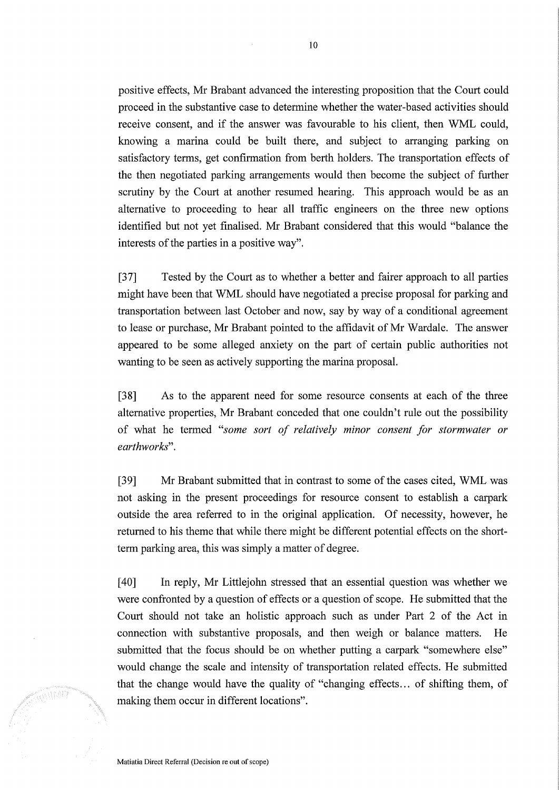positive effects, Mr Brabant advanced the interesting proposition that the Court could proceed in the substantive case to determine whether the water-based activities should receive consent, and if the answer was favourable to his client, then WML could, knowing a marina could be built there, and subject to arranging parking on satisfactory terms, get confirmation from berth holders. The transportation effects of the then negotiated parking arrangements would then become the subject of further scrutiny by the Court at another resumed hearing. This approach would be as an alternative to proceeding to hear all traffic engineers on the three new options identified but not yet finalised. Mr Brabant considered that this would "balance the interests of the parties in a positive way".

[37] Tested by the Court as to whether a better and fairer approach to all parties might have been that WML should have negotiated a precise proposal for parking and transportation between last October and now, say by way of a conditional agreement to lease or purchase, Mr Brabant pointed to the affidavit of Mr Wardale. The answer appeared to be some alleged anxiety on the part of certain public authorities not wanting to be seen as actively supporting the marina proposal.

[38] As to the apparent need for some resource consents at each of the three alternative properties, Mr Brabant conceded that one couldn't rule out the possibility of what he termed *"some sort of relatively minor consent for stormwater or earthworks" .* 

[39] Mr Brabant submitted that in contrast to some of the cases cited, WML was not asking in the present proceedings for resource consent to establish a carpark outside the area referred to in the original application. Of necessity, however, he returned to his theme that while there might be different potential effects on the shortterm parking area, this was simply a matter of degree.

[40] **In** reply, Mr Littlejohn stressed that an essential question was whether we were confronted by a question of effects or a question of scope. He submitted that the Court should not take an holistic approach such as under Part 2 of the Act in connection with substantive proposals, and then weigh or balance matters. He submitted that the focus should be on whether putting a carpark "somewhere else" would change the scale and intensity of transportation related effects. He submitted that the change would have the quality of "changing effects ... of shifting them, of making them occur in different locations".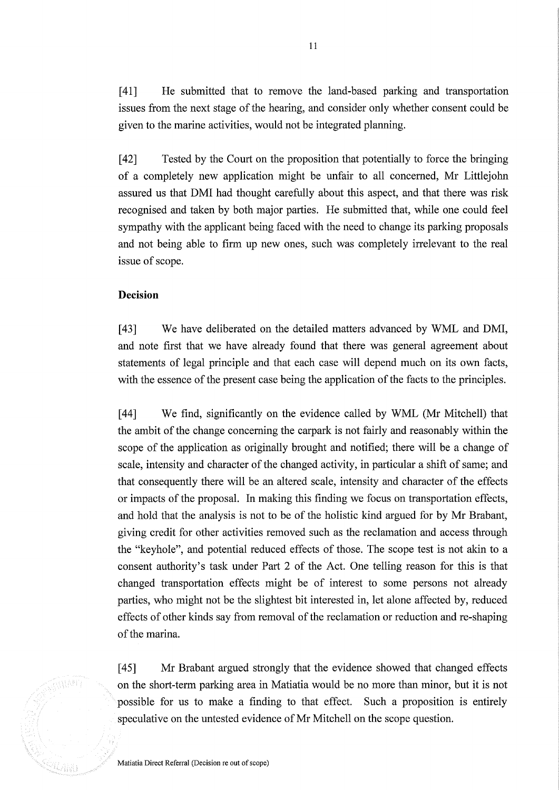[41] He submitted that to remove the land-based parking and transportation issues from the next stage of the hearing, and consider only whether consent could be given to the marine activities, would not be integrated planning.

[42] Tested by the Court on the proposition that potentially to force the bringing of a completely new application might be unfair to all concerned, Mr Littlejohn assured us that DMI had thought carefully about this aspect, and that there was risk recognised and taken by both major parties. He submitted that, while one could feel sympathy with the applicant being faced with the need to change its parking proposals and not being able to firm up new ones, such was completely irrelevant to the real issue of scope.

### **Decision**

[43] We have deliberated on the detailed matters advanced by WML and DMI, and note first that we have already found that there was general agreement about statements of legal principle and that each case will depend much on its own facts, with the essence of the present case being the application of the facts to the principles.

[44] We find, significantly on the evidence called by WML (Mr Mitchell) that the ambit of the change concerning the carpark is not fairly and reasonably within the scope of the application as originally brought and notified; there will be a change of scale, intensity and character of the changed activity, in particular a shift of same; and that consequently there will be an altered scale, intensity and character of the effects or impacts of the proposal. In making this finding we focus on transportation effects, and hold that the analysis is not to be of the holistic kind argued for by Mr Brabant, giving credit for other activities removed such as the reclamation and access through the "keyhole", and potential reduced effects of those. The scope test is not akin to a consent authority's task under Part 2 of the Act. One telling reason for this is that changed transportation effects might be of interest to some persons not already parties, who might not be the slightest bit interested in, let alone affected by, reduced effects of other kinds say from removal of the reclamation or reduction and re-shaping of the marina.

[45] Mr Brabant argued strongly that the evidence showed that changed effects on the short-term parking area in Matiatia would be no more than minor, but it is not possible for us to make a finding to that effect. Such a proposition is entirely speculative on the untested evidence of Mr Mitchell on the scope question.

Matiatia Direct Referral (Decision re out of scope)

Warp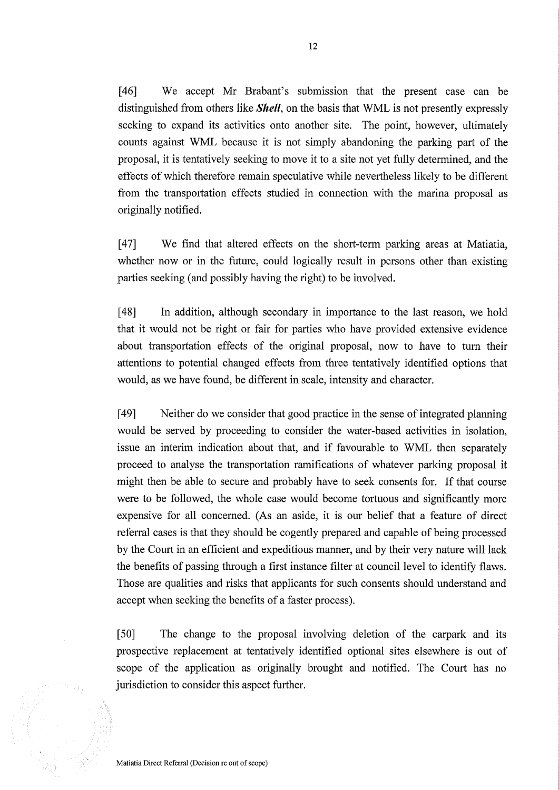[46] We accept Mr Brabant's submission that the present case can be distinguished from others like *Shell,* on the basis that WML is not presently expressly seeking to expand its activities onto another site. The point, however, ultimately counts against WML because it is not simply abandoning the parking part of the proposal, it is tentatively seeking to move it to a site not yet fully determined, and the effects of which therefore remain speculative while nevertheless likely to be different from the transportation effects studied in connection with the marina proposal as originally notified.

[47] We find that altered effects on the short-term parking areas at Matiatia, whether now or in the future, could logically result in persons other than existing parties seeking (and possibly having the right) to be involved.

[48] In addition, although secondary in importance to the last reason, we hold that it would not be right or fair for parties who have provided extensive evidence about transportation effects of the original proposal, now to have to tum their attentions to potential changed effects from three tentatively identified options that would, as we have found, be different in scale, intensity and character.

[49] Neither do we consider that good practice in the sense of integrated planning would be served by proceeding to consider the water-based activities in isolation, issue an interim indication about that, and if favourable to WML then separately proceed to analyse the transportation ramifications of whatever parking proposal it might then be able to secure and probably have to seek consents for. If that course were to be followed, the whole case would become tortuous and significantly more expensive for all concerned. (As an aside, it is our belief that a feature of direct referral cases is that they should be cogently prepared and capable of being processed by the Court in an efficient and expeditious manner, and by their very nature will lack the benefits of passing through a first instance filter at council level to identify flaws. Those are qualities and risks that applicants for such consents should understand and accept when seeking the benefits of a faster process).

[50] The change to the proposal involving deletion of the carpark and its prospective replacement at tentatively identified optional sites elsewhere is out of scope of the application as originally brought and notified. The Court has no jurisdiction to consider this aspect further.